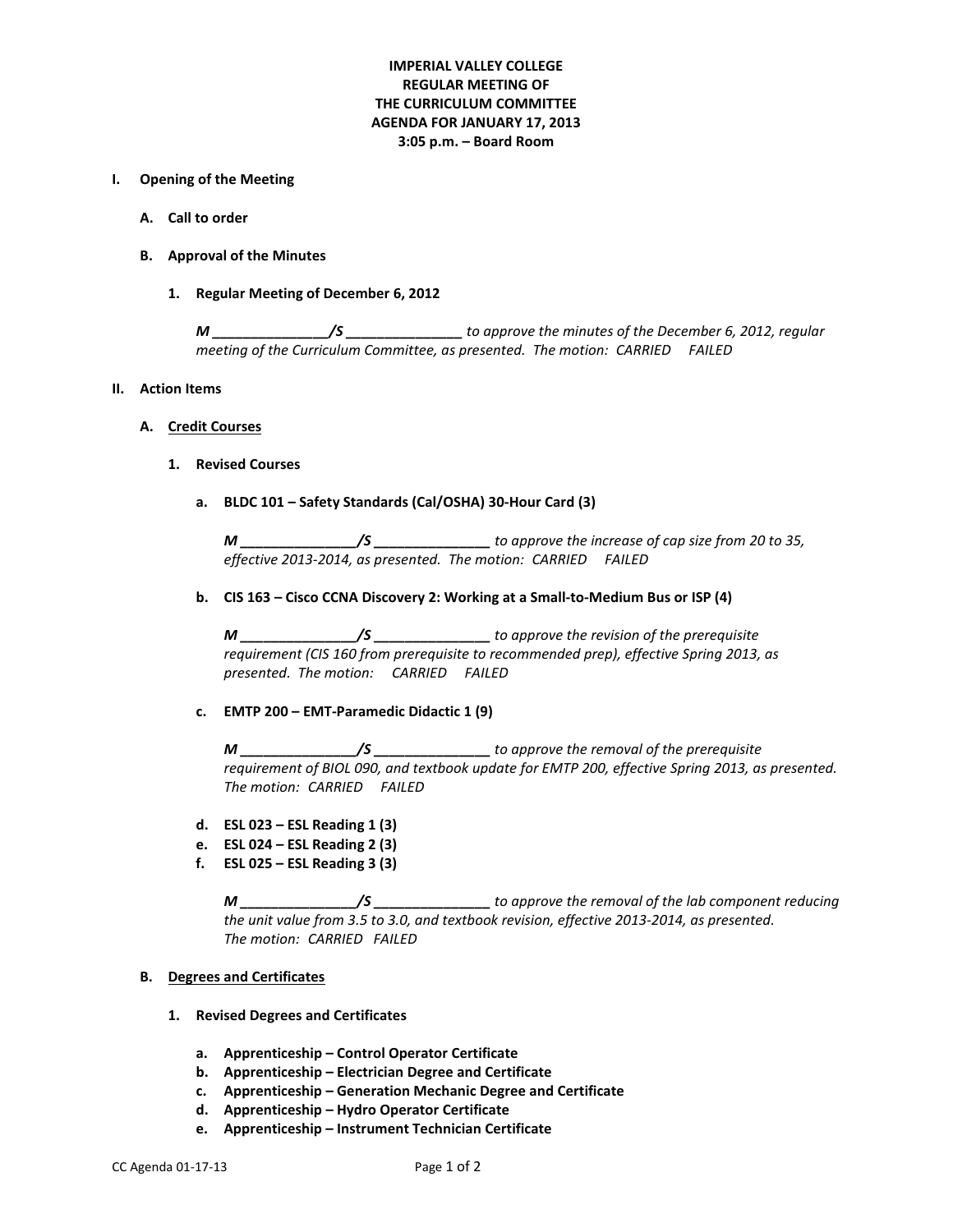# **IMPERIAL VALLEY COLLEGE REGULAR MEETING OF THE CURRICULUM COMMITTEE AGENDA FOR JANUARY 17, 2013 3:05 p.m. – Board Room**

### **I. Opening of the Meeting**

- **A. Call to order**
- **B. Approval of the Minutes**
	- **1. Regular Meeting of December 6, 2012**

*M \_\_\_\_\_\_\_\_\_\_\_\_\_\_\_/S \_\_\_\_\_\_\_\_\_\_\_\_\_\_\_ to approve the minutes of the December 6, 2012, regular meeting of the Curriculum Committee, as presented. The motion: CARRIED FAILED* 

#### **II. Action Items**

#### **A. Credit Courses**

#### **1. Revised Courses**

**a. BLDC 101 – Safety Standards (Cal/OSHA) 30-Hour Card (3)**

*M \_\_\_\_\_\_\_\_\_\_\_\_\_\_\_/S \_\_\_\_\_\_\_\_\_\_\_\_\_\_\_ to approve the increase of cap size from 20 to 35, effective 2013-2014, as presented. The motion: CARRIED FAILED*

**b. CIS 163 – Cisco CCNA Discovery 2: Working at a Small-to-Medium Bus or ISP (4)**

*M \_\_\_\_\_\_\_\_\_\_\_\_\_\_\_/S \_\_\_\_\_\_\_\_\_\_\_\_\_\_\_ to approve the revision of the prerequisite requirement (CIS 160 from prerequisite to recommended prep), effective Spring 2013, as presented. The motion: CARRIED FAILED*

**c. EMTP 200 – EMT-Paramedic Didactic 1 (9)**

*M \_\_\_\_\_\_\_\_\_\_\_\_\_\_\_/S \_\_\_\_\_\_\_\_\_\_\_\_\_\_\_ to approve the removal of the prerequisite requirement of BIOL 090, and textbook update for EMTP 200, effective Spring 2013, as presented. The motion: CARRIED FAILED*

- **d. ESL 023 – ESL Reading 1 (3)**
- **e. ESL 024 – ESL Reading 2 (3)**
- **f. ESL 025 – ESL Reading 3 (3)**

*M \_\_\_\_\_\_\_\_\_\_\_\_\_\_\_/S \_\_\_\_\_\_\_\_\_\_\_\_\_\_\_ to approve the removal of the lab component reducing the unit value from 3.5 to 3.0, and textbook revision, effective 2013-2014, as presented. The motion: CARRIED FAILED*

### **B. Degrees and Certificates**

- **1. Revised Degrees and Certificates**
	- **a. Apprenticeship – Control Operator Certificate**
	- **b. Apprenticeship – Electrician Degree and Certificate**
	- **c. Apprenticeship – Generation Mechanic Degree and Certificate**
	- **d. Apprenticeship – Hydro Operator Certificate**
	- **e. Apprenticeship – Instrument Technician Certificate**